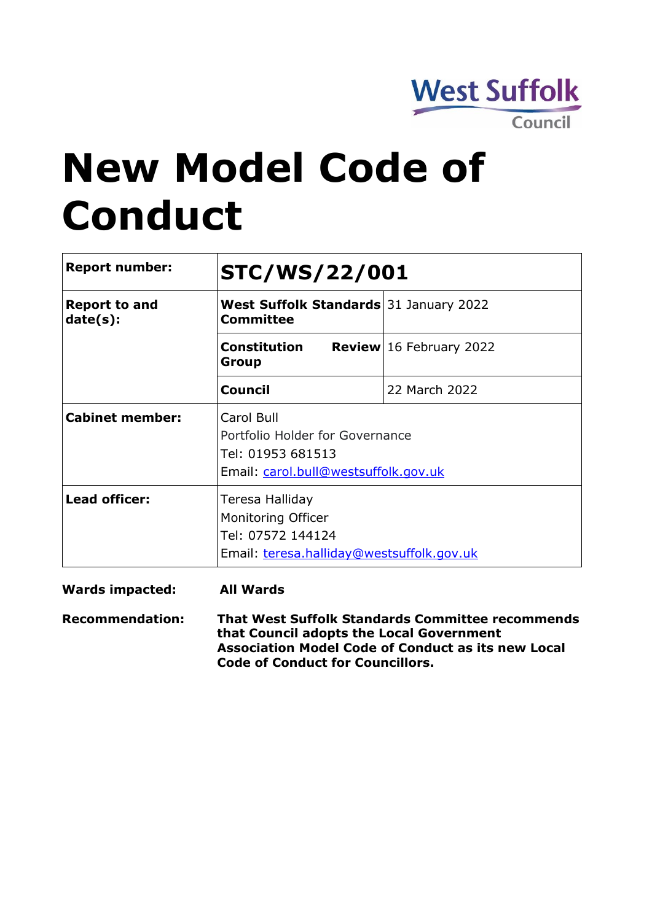

# **New Model Code of Conduct**

| <b>Report number:</b>            | <b>STC/WS/22/001</b>                                                                                       |                                  |  |  |  |
|----------------------------------|------------------------------------------------------------------------------------------------------------|----------------------------------|--|--|--|
| <b>Report to and</b><br>date(s): | <b>West Suffolk Standards</b> 31 January 2022<br>Committee                                                 |                                  |  |  |  |
|                                  | <b>Constitution</b><br>Group                                                                               | <b>Review</b> $16$ February 2022 |  |  |  |
|                                  | <b>Council</b>                                                                                             | 22 March 2022                    |  |  |  |
| <b>Cabinet member:</b>           | Carol Bull<br>Portfolio Holder for Governance<br>Tel: 01953 681513<br>Email: carol.bull@westsuffolk.gov.uk |                                  |  |  |  |
| <b>Lead officer:</b>             | Teresa Halliday<br>Monitoring Officer<br>Tel: 07572 144124<br>Email: teresa.halliday@westsuffolk.gov.uk    |                                  |  |  |  |

**Wards impacted: All Wards**

**Recommendation: That West Suffolk Standards Committee recommends that Council adopts the Local Government Association Model Code of Conduct as its new Local Code of Conduct for Councillors.**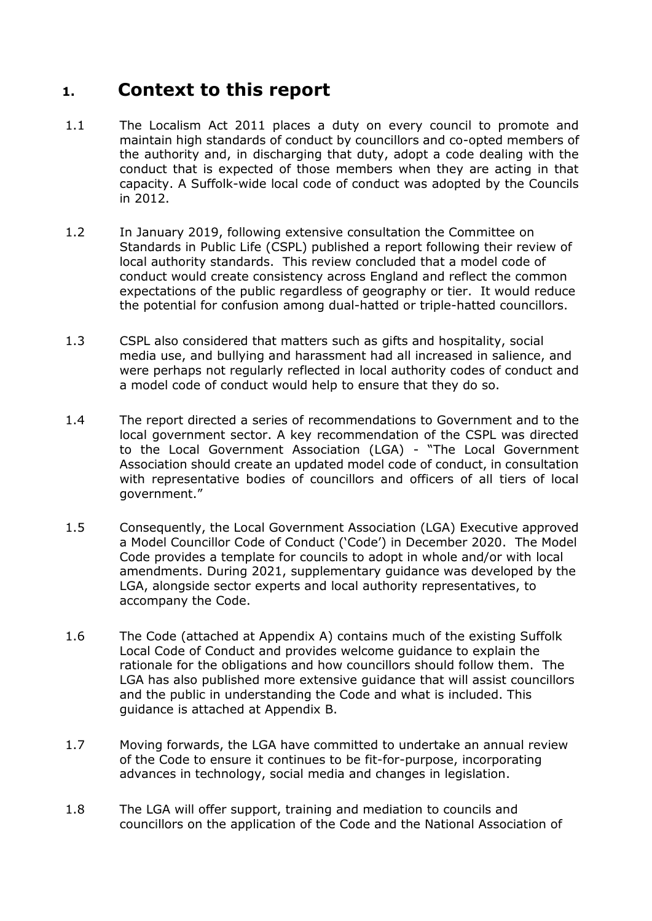## **1. Context to this report**

- 1.1 The Localism Act 2011 places a duty on every council to promote and maintain high standards of conduct by councillors and co-opted members of the authority and, in discharging that duty, adopt a code dealing with the conduct that is expected of those members when they are acting in that capacity. A Suffolk-wide local code of conduct was adopted by the Councils in 2012.
- 1.2 In January 2019, following extensive consultation the Committee on Standards in Public Life (CSPL) published a report following their review of local authority standards. This review concluded that a model code of conduct would create consistency across England and reflect the common expectations of the public regardless of geography or tier. It would reduce the potential for confusion among dual-hatted or triple-hatted councillors.
- 1.3 CSPL also considered that matters such as gifts and hospitality, social media use, and bullying and harassment had all increased in salience, and were perhaps not regularly reflected in local authority codes of conduct and a model code of conduct would help to ensure that they do so.
- 1.4 The report directed a series of recommendations to Government and to the local government sector. A key recommendation of the CSPL was directed to the Local Government Association (LGA) - "The Local Government Association should create an updated model code of conduct, in consultation with representative bodies of councillors and officers of all tiers of local government."
- 1.5 Consequently, the Local Government Association (LGA) Executive approved a Model Councillor Code of Conduct ('Code') in December 2020. The Model Code provides a template for councils to adopt in whole and/or with local amendments. During 2021, supplementary guidance was developed by the LGA, alongside sector experts and local authority representatives, to accompany the Code.
- 1.6 The Code (attached at Appendix A) contains much of the existing Suffolk Local Code of Conduct and provides welcome guidance to explain the rationale for the obligations and how councillors should follow them. The LGA has also published more extensive guidance that will assist councillors and the public in understanding the Code and what is included. This guidance is attached at Appendix B.
- 1.7 Moving forwards, the LGA have committed to undertake an annual review of the Code to ensure it continues to be fit-for-purpose, incorporating advances in technology, social media and changes in legislation.
- 1.8 The LGA will offer support, training and mediation to councils and councillors on the application of the Code and the National Association of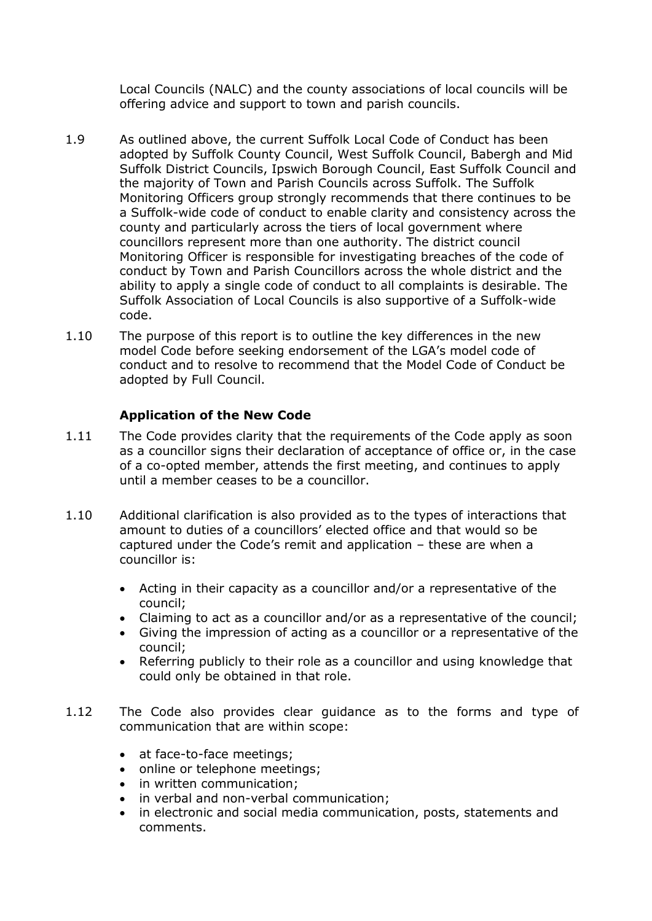Local Councils (NALC) and the county associations of local councils will be offering advice and support to town and parish councils.

- 1.9 As outlined above, the current Suffolk Local Code of Conduct has been adopted by Suffolk County Council, West Suffolk Council, Babergh and Mid Suffolk District Councils, Ipswich Borough Council, East Suffolk Council and the majority of Town and Parish Councils across Suffolk. The Suffolk Monitoring Officers group strongly recommends that there continues to be a Suffolk-wide code of conduct to enable clarity and consistency across the county and particularly across the tiers of local government where councillors represent more than one authority. The district council Monitoring Officer is responsible for investigating breaches of the code of conduct by Town and Parish Councillors across the whole district and the ability to apply a single code of conduct to all complaints is desirable. The Suffolk Association of Local Councils is also supportive of a Suffolk-wide code.
- 1.10 The purpose of this report is to outline the key differences in the new model Code before seeking endorsement of the LGA's model code of conduct and to resolve to recommend that the Model Code of Conduct be adopted by Full Council.

## **Application of the New Code**

- 1.11 The Code provides clarity that the requirements of the Code apply as soon as a councillor signs their declaration of acceptance of office or, in the case of a co-opted member, attends the first meeting, and continues to apply until a member ceases to be a councillor.
- 1.10 Additional clarification is also provided as to the types of interactions that amount to duties of a councillors' elected office and that would so be captured under the Code's remit and application – these are when a councillor is:
	- Acting in their capacity as a councillor and/or a representative of the council;
	- Claiming to act as a councillor and/or as a representative of the council;
	- Giving the impression of acting as a councillor or a representative of the council;
	- Referring publicly to their role as a councillor and using knowledge that could only be obtained in that role.
- 1.12 The Code also provides clear guidance as to the forms and type of communication that are within scope:
	- at face-to-face meetings;
	- online or telephone meetings;
	- in written communication;
	- in verbal and non-verbal communication;
	- in electronic and social media communication, posts, statements and comments.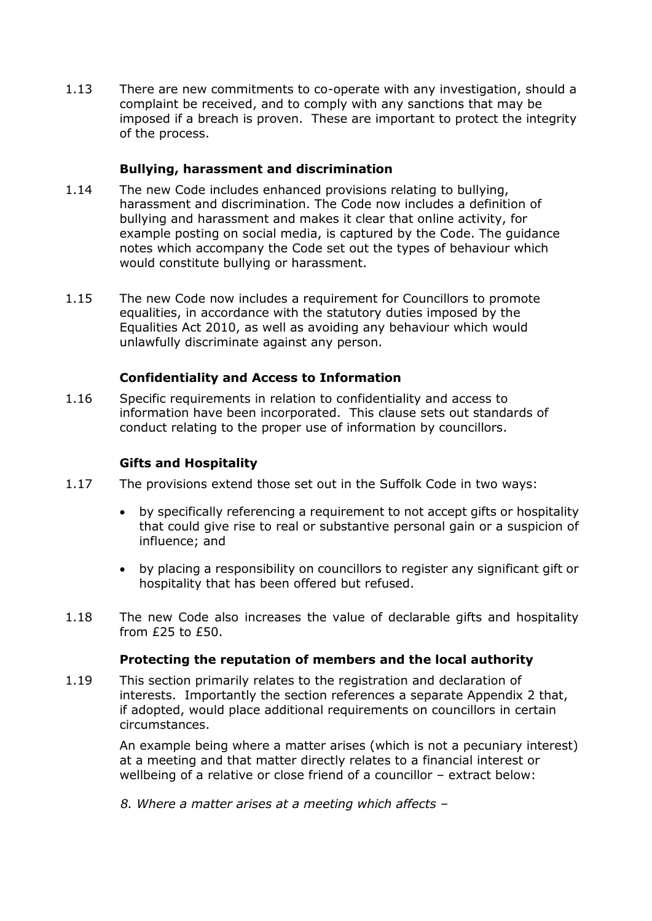1.13 There are new commitments to co-operate with any investigation, should a complaint be received, and to comply with any sanctions that may be imposed if a breach is proven. These are important to protect the integrity of the process.

## **Bullying, harassment and discrimination**

- 1.14 The new Code includes enhanced provisions relating to bullying, harassment and discrimination. The Code now includes a definition of bullying and harassment and makes it clear that online activity, for example posting on social media, is captured by the Code. The guidance notes which accompany the Code set out the types of behaviour which would constitute bullying or harassment.
- 1.15 The new Code now includes a requirement for Councillors to promote equalities, in accordance with the statutory duties imposed by the Equalities Act 2010, as well as avoiding any behaviour which would unlawfully discriminate against any person.

## **Confidentiality and Access to Information**

1.16 Specific requirements in relation to confidentiality and access to information have been incorporated. This clause sets out standards of conduct relating to the proper use of information by councillors.

#### **Gifts and Hospitality**

- 1.17 The provisions extend those set out in the Suffolk Code in two ways:
	- by specifically referencing a requirement to not accept gifts or hospitality that could give rise to real or substantive personal gain or a suspicion of influence; and
	- by placing a responsibility on councillors to register any significant gift or hospitality that has been offered but refused.
- 1.18 The new Code also increases the value of declarable gifts and hospitality from £25 to £50.

#### **Protecting the reputation of members and the local authority**

1.19 This section primarily relates to the registration and declaration of interests. Importantly the section references a separate Appendix 2 that, if adopted, would place additional requirements on councillors in certain circumstances.

> An example being where a matter arises (which is not a pecuniary interest) at a meeting and that matter directly relates to a financial interest or wellbeing of a relative or close friend of a councillor – extract below:

*8. Where a matter arises at a meeting which affects –*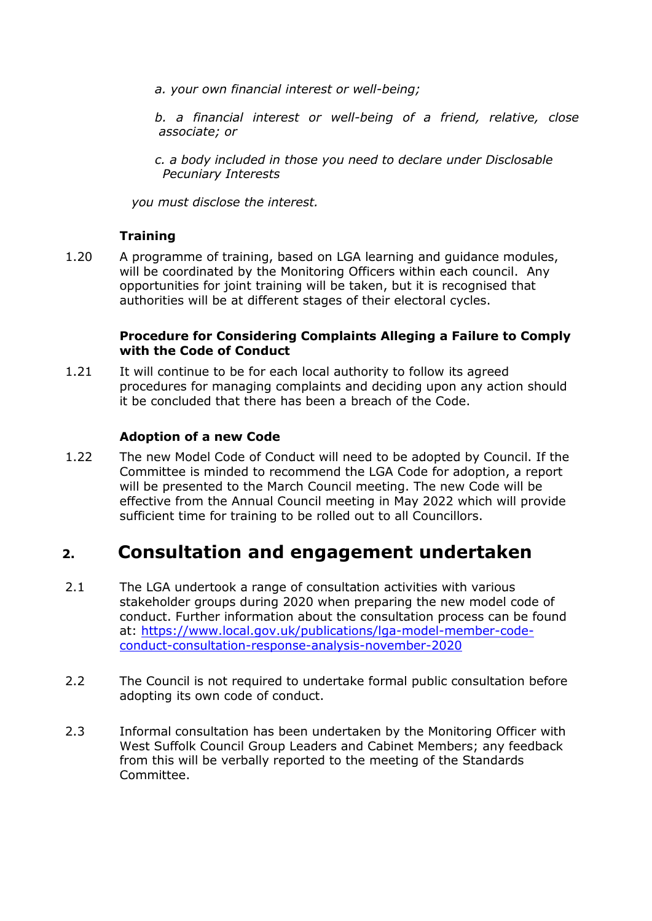*a. your own financial interest or well-being;* 

*b. a financial interest or well-being of a friend, relative, close associate; or* 

*c. a body included in those you need to declare under Disclosable Pecuniary Interests* 

*you must disclose the interest.*

## **Training**

1.20 A programme of training, based on LGA learning and guidance modules, will be coordinated by the Monitoring Officers within each council. Any opportunities for joint training will be taken, but it is recognised that authorities will be at different stages of their electoral cycles.

## **Procedure for Considering Complaints Alleging a Failure to Comply with the Code of Conduct**

1.21 It will continue to be for each local authority to follow its agreed procedures for managing complaints and deciding upon any action should it be concluded that there has been a breach of the Code.

## **Adoption of a new Code**

1.22 The new Model Code of Conduct will need to be adopted by Council. If the Committee is minded to recommend the LGA Code for adoption, a report will be presented to the March Council meeting. The new Code will be effective from the Annual Council meeting in May 2022 which will provide sufficient time for training to be rolled out to all Councillors.

## **2. Consultation and engagement undertaken**

- 2.1 The LGA undertook a range of consultation activities with various stakeholder groups during 2020 when preparing the new model code of conduct. Further information about the consultation process can be found at: [https://www.local.gov.uk/publications/lga-model-member-code](https://www.local.gov.uk/publications/lga-model-member-code-conduct-consultation-response-analysis-november-2020)[conduct-consultation-response-analysis-november-2020](https://www.local.gov.uk/publications/lga-model-member-code-conduct-consultation-response-analysis-november-2020)
- 2.2 The Council is not required to undertake formal public consultation before adopting its own code of conduct.
- 2.3 Informal consultation has been undertaken by the Monitoring Officer with West Suffolk Council Group Leaders and Cabinet Members; any feedback from this will be verbally reported to the meeting of the Standards Committee.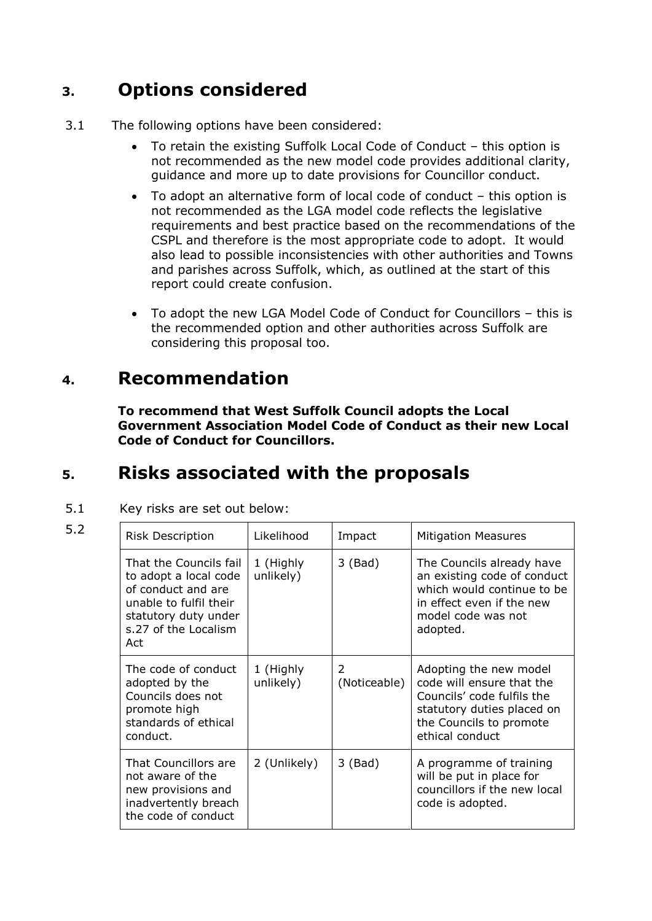# **3. Options considered**

- 3.1 The following options have been considered:
	- To retain the existing Suffolk Local Code of Conduct this option is not recommended as the new model code provides additional clarity, guidance and more up to date provisions for Councillor conduct.
	- To adopt an alternative form of local code of conduct this option is not recommended as the LGA model code reflects the legislative requirements and best practice based on the recommendations of the CSPL and therefore is the most appropriate code to adopt. It would also lead to possible inconsistencies with other authorities and Towns and parishes across Suffolk, which, as outlined at the start of this report could create confusion.
	- To adopt the new LGA Model Code of Conduct for Councillors this is the recommended option and other authorities across Suffolk are considering this proposal too.

## **4. Recommendation**

**To recommend that West Suffolk Council adopts the Local Government Association Model Code of Conduct as their new Local Code of Conduct for Councillors.**

# **5. Risks associated with the proposals**

5.1 Key risks are set out below:

|                   | . . |
|-------------------|-----|
| <b>STATISTICS</b> |     |
| I<br>۰.<br>٠      |     |

| 5.2 | <b>Risk Description</b>                                                                                                                                | Likelihood             | Impact            | <b>Mitigation Measures</b>                                                                                                                                    |
|-----|--------------------------------------------------------------------------------------------------------------------------------------------------------|------------------------|-------------------|---------------------------------------------------------------------------------------------------------------------------------------------------------------|
|     | That the Councils fail<br>to adopt a local code<br>of conduct and are<br>unable to fulfil their<br>statutory duty under<br>s.27 of the Localism<br>Act | 1 (Highly<br>unlikely) | $3$ (Bad)         | The Councils already have<br>an existing code of conduct<br>which would continue to be<br>in effect even if the new<br>model code was not<br>adopted.         |
|     | The code of conduct<br>adopted by the<br>Councils does not<br>promote high<br>standards of ethical<br>conduct.                                         | 1 (Highly<br>unlikely) | 2<br>(Noticeable) | Adopting the new model<br>code will ensure that the<br>Councils' code fulfils the<br>statutory duties placed on<br>the Councils to promote<br>ethical conduct |
|     | That Councillors are<br>not aware of the<br>new provisions and<br>inadvertently breach<br>the code of conduct                                          | 2 (Unlikely)           | $3$ (Bad)         | A programme of training<br>will be put in place for<br>councillors if the new local<br>code is adopted.                                                       |